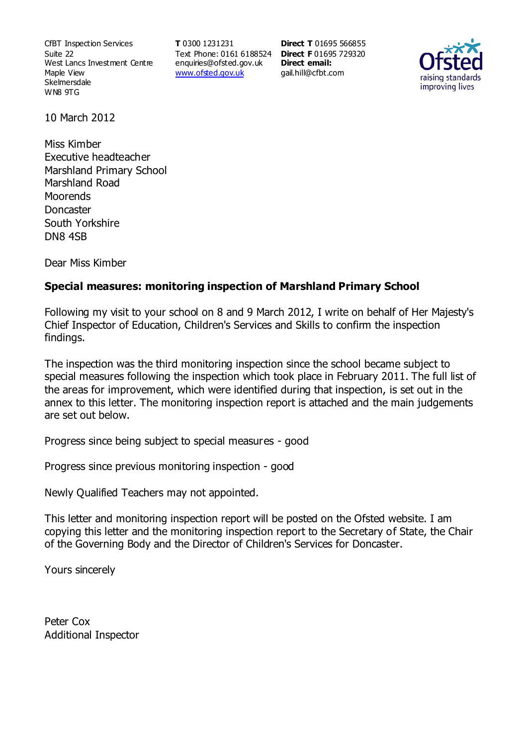CfBT Inspection Services Suite 22 West Lancs Investment Centre Maple View **Skelmersdale** WN8 9TG

**T** 0300 1231231 Text Phone: 0161 6188524 **Direct F** 01695 729320 enquiries@ofsted.gov.uk www.ofsted.gov.uk

**Direct T** 01695 566855 **Direct email:**  gail.hill@cfbt.com



10 March 2012

Miss Kimber Executive headteacher Marshland Primary School Marshland Road **Moorends Doncaster** South Yorkshire DN8 4SB

Dear Miss Kimber

## **Special measures: monitoring inspection of Marshland Primary School**

Following my visit to your school on 8 and 9 March 2012, I write on behalf of Her Majesty's Chief Inspector of Education, Children's Services and Skills to confirm the inspection findings.

The inspection was the third monitoring inspection since the school became subject to special measures following the inspection which took place in February 2011. The full list of the areas for improvement, which were identified during that inspection, is set out in the annex to this letter. The monitoring inspection report is attached and the main judgements are set out below.

Progress since being subject to special measures - good

Progress since previous monitoring inspection - good

Newly Qualified Teachers may not appointed.

This letter and monitoring inspection report will be posted on the Ofsted website. I am copying this letter and the monitoring inspection report to the Secretary of State, the Chair of the Governing Body and the Director of Children's Services for Doncaster.

Yours sincerely

Peter Cox Additional Inspector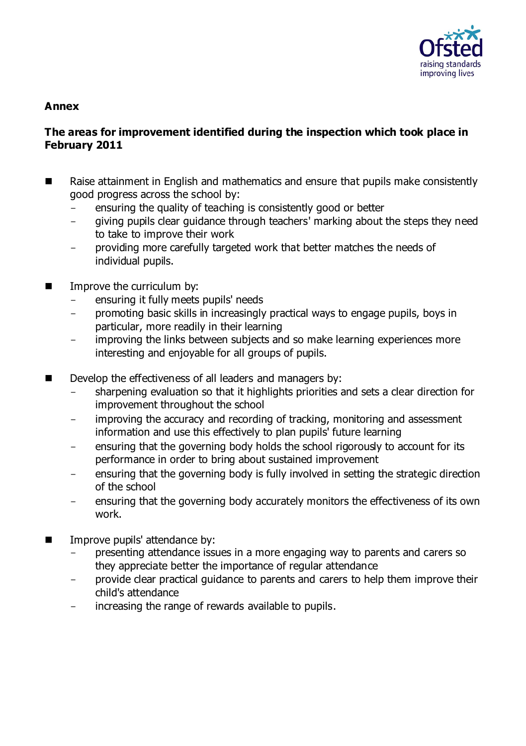

#### **Annex**

### **The areas for improvement identified during the inspection which took place in February 2011**

- Raise attainment in English and mathematics and ensure that pupils make consistently good progress across the school by:
	- ensuring the quality of teaching is consistently good or better
	- giving pupils clear guidance through teachers' marking about the steps they need to take to improve their work
	- providing more carefully targeted work that better matches the needs of individual pupils.
- Improve the curriculum by:
	- ensuring it fully meets pupils' needs
	- promoting basic skills in increasingly practical ways to engage pupils, boys in particular, more readily in their learning
	- improving the links between subjects and so make learning experiences more interesting and enjoyable for all groups of pupils.
- Develop the effectiveness of all leaders and managers by:
	- sharpening evaluation so that it highlights priorities and sets a clear direction for improvement throughout the school
	- improving the accuracy and recording of tracking, monitoring and assessment information and use this effectively to plan pupils' future learning
	- ensuring that the governing body holds the school rigorously to account for its performance in order to bring about sustained improvement
	- ensuring that the governing body is fully involved in setting the strategic direction of the school
	- ensuring that the governing body accurately monitors the effectiveness of its own work.
- Improve pupils' attendance by:
	- presenting attendance issues in a more engaging way to parents and carers so they appreciate better the importance of regular attendance
	- provide clear practical guidance to parents and carers to help them improve their child's attendance
	- increasing the range of rewards available to pupils.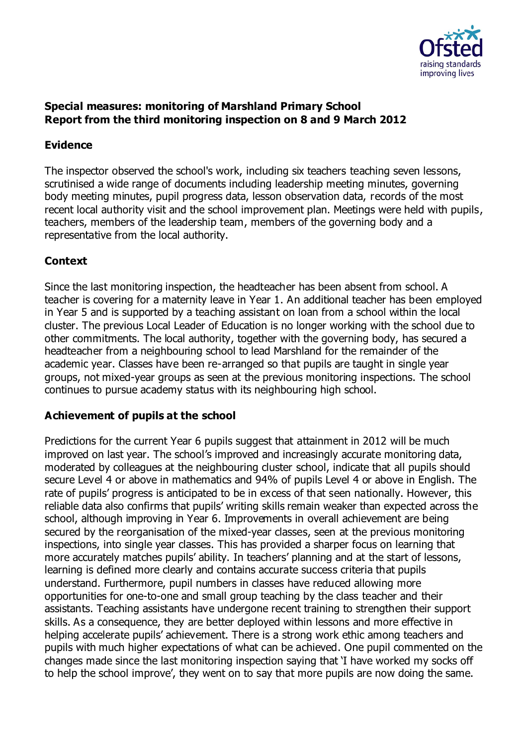

## **Special measures: monitoring of Marshland Primary School Report from the third monitoring inspection on 8 and 9 March 2012**

## **Evidence**

The inspector observed the school's work, including six teachers teaching seven lessons, scrutinised a wide range of documents including leadership meeting minutes, governing body meeting minutes, pupil progress data, lesson observation data, records of the most recent local authority visit and the school improvement plan. Meetings were held with pupils, teachers, members of the leadership team, members of the governing body and a representative from the local authority.

# **Context**

Since the last monitoring inspection, the headteacher has been absent from school. A teacher is covering for a maternity leave in Year 1. An additional teacher has been employed in Year 5 and is supported by a teaching assistant on loan from a school within the local cluster. The previous Local Leader of Education is no longer working with the school due to other commitments. The local authority, together with the governing body, has secured a headteacher from a neighbouring school to lead Marshland for the remainder of the academic year. Classes have been re-arranged so that pupils are taught in single year groups, not mixed-year groups as seen at the previous monitoring inspections. The school continues to pursue academy status with its neighbouring high school.

# **Achievement of pupils at the school**

Predictions for the current Year 6 pupils suggest that attainment in 2012 will be much improved on last year. The school's improved and increasingly accurate monitoring data, moderated by colleagues at the neighbouring cluster school, indicate that all pupils should secure Level 4 or above in mathematics and 94% of pupils Level 4 or above in English. The rate of pupils' progress is anticipated to be in excess of that seen nationally. However, this reliable data also confirms that pupils' writing skills remain weaker than expected across the school, although improving in Year 6. Improvements in overall achievement are being secured by the reorganisation of the mixed-year classes, seen at the previous monitoring inspections, into single year classes. This has provided a sharper focus on learning that more accurately matches pupils' ability. In teachers' planning and at the start of lessons, learning is defined more clearly and contains accurate success criteria that pupils understand. Furthermore, pupil numbers in classes have reduced allowing more opportunities for one-to-one and small group teaching by the class teacher and their assistants. Teaching assistants have undergone recent training to strengthen their support skills. As a consequence, they are better deployed within lessons and more effective in helping accelerate pupils' achievement. There is a strong work ethic among teachers and pupils with much higher expectations of what can be achieved. One pupil commented on the changes made since the last monitoring inspection saying that 'I have worked my socks off to help the school improve', they went on to say that more pupils are now doing the same.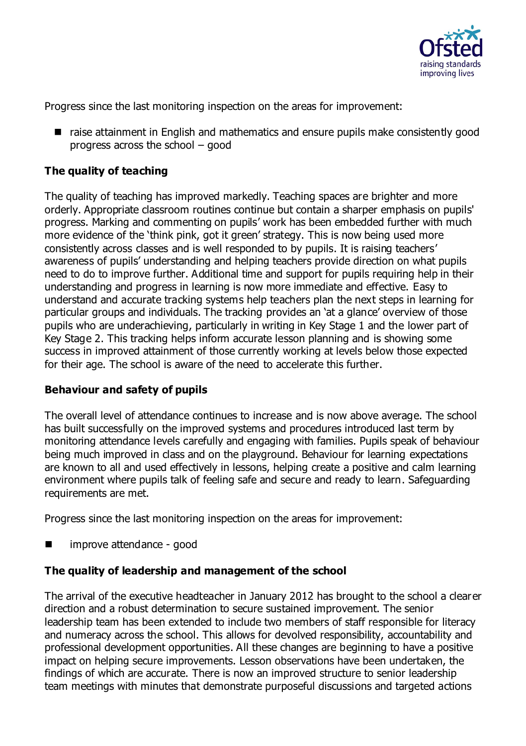

Progress since the last monitoring inspection on the areas for improvement:

■ raise attainment in English and mathematics and ensure pupils make consistently good progress across the school – good

## **The quality of teaching**

The quality of teaching has improved markedly. Teaching spaces are brighter and more orderly. Appropriate classroom routines continue but contain a sharper emphasis on pupils' progress. Marking and commenting on pupils' work has been embedded further with much more evidence of the 'think pink, got it green' strategy. This is now being used more consistently across classes and is well responded to by pupils. It is raising teachers' awareness of pupils' understanding and helping teachers provide direction on what pupils need to do to improve further. Additional time and support for pupils requiring help in their understanding and progress in learning is now more immediate and effective. Easy to understand and accurate tracking systems help teachers plan the next steps in learning for particular groups and individuals. The tracking provides an 'at a glance' overview of those pupils who are underachieving, particularly in writing in Key Stage 1 and the lower part of Key Stage 2. This tracking helps inform accurate lesson planning and is showing some success in improved attainment of those currently working at levels below those expected for their age. The school is aware of the need to accelerate this further.

#### **Behaviour and safety of pupils**

The overall level of attendance continues to increase and is now above average. The school has built successfully on the improved systems and procedures introduced last term by monitoring attendance levels carefully and engaging with families. Pupils speak of behaviour being much improved in class and on the playground. Behaviour for learning expectations are known to all and used effectively in lessons, helping create a positive and calm learning environment where pupils talk of feeling safe and secure and ready to learn. Safeguarding requirements are met.

Progress since the last monitoring inspection on the areas for improvement:

improve attendance - good

#### **The quality of leadership and management of the school**

The arrival of the executive headteacher in January 2012 has brought to the school a clearer direction and a robust determination to secure sustained improvement. The senior leadership team has been extended to include two members of staff responsible for literacy and numeracy across the school. This allows for devolved responsibility, accountability and professional development opportunities. All these changes are beginning to have a positive impact on helping secure improvements. Lesson observations have been undertaken, the findings of which are accurate. There is now an improved structure to senior leadership team meetings with minutes that demonstrate purposeful discussions and targeted actions